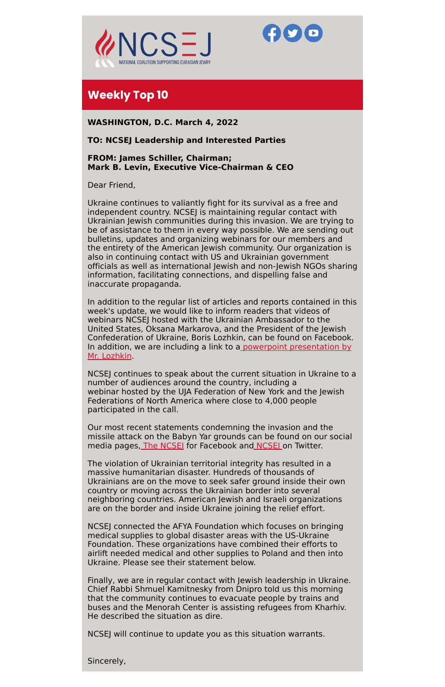



# **Weekly Top 10**

**WASHINGTON, D.C. March 4, 2022**

# **TO: NCSEJ Leadership and Interested Parties**

## **FROM: James Schiller, Chairman; Mark B. Levin, Executive Vice-Chairman & CEO**

Dear Friend,

Ukraine continues to valiantly fight for its survival as a free and independent country. NCSEJ is maintaining regular contact with Ukrainian Jewish communities during this invasion. We are trying to be of assistance to them in every way possible. We are sending out bulletins, updates and organizing webinars for our members and the entirety of the American Jewish community. Our organization is also in continuing contact with US and Ukrainian government officials as well as international Jewish and non-Jewish NGOs sharing information, facilitating connections, and dispelling false and inaccurate propaganda.

Our most recent statements condemning the invasion and the missile attack on the Babyn Yar grounds can be found on our social media pages, The NCSE for Facebook and NCSE on Twitter.

In addition to the regular list of articles and reports contained in this week's update, we would like to inform readers that videos of webinars NCSEJ hosted with the Ukrainian Ambassador to the United States, Oksana Markarova, and the President of the Jewish Confederation of Ukraine, Boris Lozhkin, can be found on Facebook. In addition, we are including a link to a powerpoint [presentation](https://ncsj-my.sharepoint.com/:p:/g/personal/ehess_ncsej_org/ERzaVHYw83lLoyIR80rQmxwBJxTZxTB49CdWXqZsfIyhjQ?rtime=vRo8Svj92Ug) by Mr. Lozhkin.

NCSEJ continues to speak about the current situation in Ukraine to a number of audiences around the country, including a webinar hosted by the UJA Federation of New York and the Jewish Federations of North America where close to 4,000 people participated in the call.

The violation of Ukrainian territorial integrity has resulted in a massive humanitarian disaster. Hundreds of thousands of Ukrainians are on the move to seek safer ground inside their own country or moving across the Ukrainian border into several neighboring countries. American Jewish and Israeli organizations

are on the border and inside Ukraine joining the relief effort.

NCSEJ connected the AFYA Foundation which focuses on bringing medical supplies to global disaster areas with the US-Ukraine Foundation. These organizations have combined their efforts to airlift needed medical and other supplies to Poland and then into Ukraine. Please see their statement below.

Finally, we are in regular contact with Jewish leadership in Ukraine. Chief Rabbi Shmuel Kamitnesky from Dnipro told us this morning that the community continues to evacuate people by trains and buses and the Menorah Center is assisting refugees from Kharhiv. He described the situation as dire.

NCSEJ will continue to update you as this situation warrants.

Sincerely,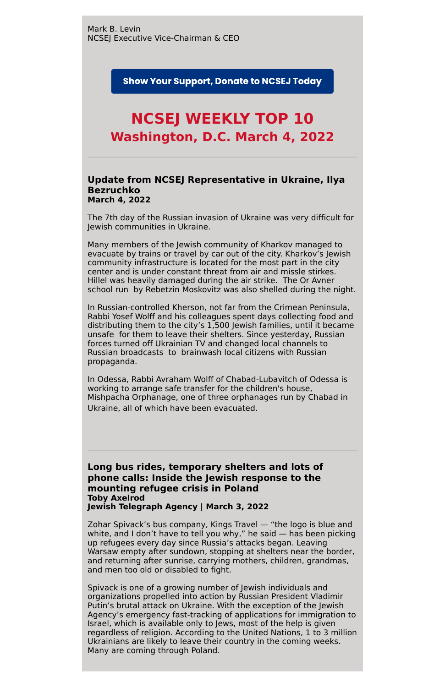**Show Your Support, Donate to NCSEJ Today** 

# **NCSEJ WEEKLY TOP 10 Washington, D.C. March 4, 2022**

## **Update from NCSEJ Representative in Ukraine, Ilya Bezruchko March 4, 2022**

The 7th day of the Russian invasion of Ukraine was very difficult for Jewish communities in Ukraine.

Many members of the Jewish community of Kharkov managed to evacuate by trains or travel by car out of the city. Kharkov's Jewish community infrastructure is located for the most part in the city center and is under constant threat from air and missle stirkes. Hillel was heavily damaged during the air strike. The Or Avner school run by Rebetzin Moskovitz was also shelled during the night.

In Russian-controlled Kherson, not far from the Crimean Peninsula, Rabbi Yosef Wolff and his colleagues spent days collecting food and distributing them to the city's 1,500 Jewish families, until it became unsafe for them to leave their shelters. Since yesterday, Russian forces turned off Ukrainian TV and changed local channels to Russian broadcasts to brainwash local citizens with Russian propaganda.

In Odessa, Rabbi Avraham Wolff of Chabad-Lubavitch of Odessa is working to arrange safe transfer for the children's house, Mishpacha Orphanage, one of three orphanages run by Chabad in Ukraine, all of which have been evacuated.

**Long bus rides, temporary shelters and lots of phone calls: Inside the Jewish response to the mounting refugee crisis in Poland Toby Axelrod**

#### **Jewish Telegraph Agency | March 3, 2022**

Zohar Spivack's bus company, Kings Travel — "the logo is blue and white, and I don't have to tell you why," he said — has been picking up refugees every day since Russia's attacks began. Leaving Warsaw empty after sundown, stopping at shelters near the border, and returning after sunrise, carrying mothers, children, grandmas, and men too old or disabled to fight.

Spivack is one of a growing number of Jewish individuals and organizations propelled into action by Russian President Vladimir Putin's brutal attack on Ukraine. With the exception of the Jewish Agency's emergency fast-tracking of applications for immigration to Israel, which is available only to Jews, most of the help is given regardless of religion. According to the United Nations, 1 to 3 million Ukrainians are likely to leave their country in the coming weeks. Many are coming through Poland.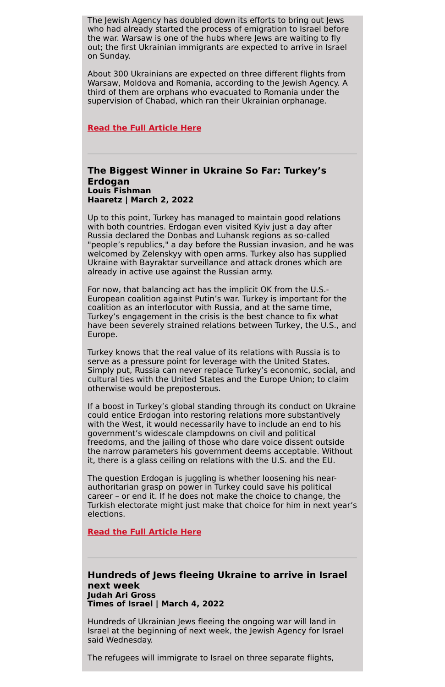The Jewish Agency has doubled down its efforts to bring out Jews who had already started the process of emigration to Israel before the war. Warsaw is one of the hubs where Jews are waiting to fly out; the first Ukrainian immigrants are expected to arrive in Israel on Sunday.

About 300 Ukrainians are expected on three different flights from Warsaw, Moldova and Romania, according to the Jewish Agency. A third of them are orphans who evacuated to Romania under the supervision of Chabad, which ran their Ukrainian orphanage.

#### **Read the Full [Article](https://www.jta.org/2022/03/03/global/long-bus-rides-temporary-shelters-and-lots-of-phone-calls-inside-the-jewish-response-to-the-mounting-refugee-crisis-in-poland) Here**

#### **The Biggest Winner in Ukraine So Far: Turkey's Erdogan Louis Fishman Haaretz | March 2, 2022**

Up to this point, Turkey has managed to maintain good relations with both countries. Erdogan even visited Kyiv just a day after Russia declared the Donbas and Luhansk regions as so-called "people's republics," a day before the Russian invasion, and he was welcomed by Zelenskyy with open arms. Turkey also has supplied Ukraine with Bayraktar surveillance and attack drones which are already in active use against the Russian army.

For now, that balancing act has the implicit OK from the U.S.- European coalition against Putin's war. Turkey is important for the coalition as an interlocutor with Russia, and at the same time, Turkey's engagement in the crisis is the best chance to fix what have been severely strained relations between Turkey, the U.S., and Europe.

Turkey knows that the real value of its relations with Russia is to serve as a pressure point for leverage with the United States. Simply put, Russia can never replace Turkey's economic, social, and cultural ties with the United States and the Europe Union; to claim otherwise would be preposterous.

If a boost in Turkey's global standing through its conduct on Ukraine could entice Erdogan into restoring relations more substantively with the West, it would necessarily have to include an end to his government's widescale clampdowns on civil and political freedoms, and the jailing of those who dare voice dissent outside the narrow parameters his government deems acceptable. Without it, there is a glass ceiling on relations with the U.S. and the EU.

The question Erdogan is juggling is whether loosening his nearauthoritarian grasp on power in Turkey could save his political career – or end it. If he does not make the choice to change, the Turkish electorate might just make that choice for him in next year's elections.

**Read the Full [Article](https://www.haaretz.com/middle-east-news/.premium-the-biggest-winner-in-ukraine-so-far-turkey-s-erdogan-1.10645588?utm_source=App_Share&utm_medium=iOS_Native<s=1646404636017) Here**

**Hundreds of Jews fleeing Ukraine to arrive in Israel next week Judah Ari Gross Times of Israel | March 4, 2022**

Hundreds of Ukrainian Jews fleeing the ongoing war will land in Israel at the beginning of next week, the Jewish Agency for Israel said Wednesday.

The refugees will immigrate to Israel on three separate flights,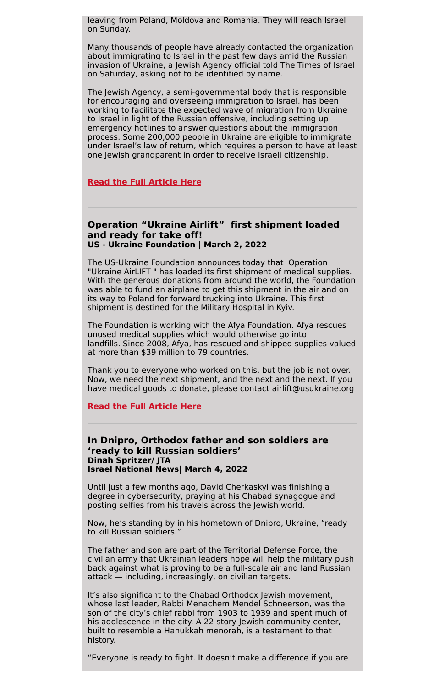leaving from Poland, Moldova and Romania. They will reach Israel on Sunday.

Many thousands of people have already contacted the organization about immigrating to Israel in the past few days amid the Russian invasion of Ukraine, a Jewish Agency official told The Times of Israel on Saturday, asking not to be identified by name.

The Jewish Agency, a semi-governmental body that is responsible for encouraging and overseeing immigration to Israel, has been working to facilitate the expected wave of migration from Ukraine to Israel in light of the Russian offensive, including setting up emergency hotlines to answer questions about the immigration process. Some 200,000 people in Ukraine are eligible to immigrate under Israel's law of return, which requires a person to have at least one Jewish grandparent in order to receive Israeli citizenship.

#### **Read the Full [Article](https://www.timesofisrael.com/hundreds-of-jews-fleeing-ukraine-to-arrive-in-israel-next-week/) Here**

## **Operation "Ukraine Airlift" first shipment loaded and ready for take off! US - Ukraine Foundation | March 2, 2022**

The US-Ukraine Foundation announces today that Operation "Ukraine AirLIFT " has loaded its first shipment of medical supplies. With the generous donations from around the world, the Foundation was able to fund an airplane to get this shipment in the air and on its way to Poland for forward trucking into Ukraine. This first shipment is destined for the Military Hospital in Kyiv.

The Foundation is working with the Afya Foundation. Afya rescues unused medical supplies which would otherwise go into landfills. Since 2008, Afya, has rescued and shipped supplies valued at more than \$39 million to 79 countries.

Thank you to everyone who worked on this, but the job is not over. Now, we need the next shipment, and the next and the next. If you have medical goods to donate, please contact airlift@usukraine.org

**Read the Full [Article](https://usukraine.org/news/spotlight/63415/NjM0MTU=) Here**

#### **In Dnipro, Orthodox father and son soldiers are 'ready to kill Russian soldiers' Dinah Spritzer/ JTA Israel National News| March 4, 2022**

Until just a few months ago, David Cherkaskyi was finishing a degree in cybersecurity, praying at his Chabad synagogue and posting selfies from his travels across the Jewish world.

Now, he's standing by in his hometown of Dnipro, Ukraine, "ready to kill Russian soldiers."

The father and son are part of the Territorial Defense Force, the civilian army that Ukrainian leaders hope will help the military push back against what is proving to be a full-scale air and land Russian attack — including, increasingly, on civilian targets.

It's also significant to the Chabad Orthodox Jewish movement, whose last leader, Rabbi Menachem Mendel Schneerson, was the son of the city's chief rabbi from 1903 to 1939 and spent much of his adolescence in the city. A 22-story Jewish community center, built to resemble a Hanukkah menorah, is a testament to that history.

"Everyone is ready to fight. It doesn't make a difference if you are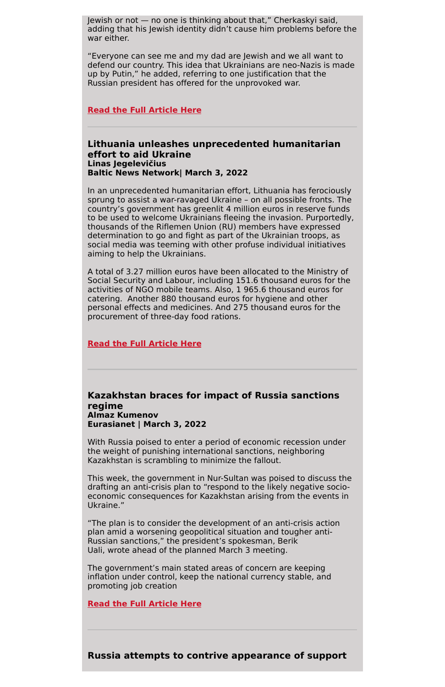Jewish or not — no one is thinking about that," Cherkaskyi said, adding that his Jewish identity didn't cause him problems before the war either.

"Everyone can see me and my dad are Jewish and we all want to defend our country. This idea that Ukrainians are neo-Nazis is made up by Putin," he added, referring to one justification that the Russian president has offered for the unprovoked war.

#### **Read the Full [Article](https://www.israelnationalnews.com/news/323275) Here**

# **Lithuania unleashes unprecedented humanitarian effort to aid Ukraine Linas Jegelevičius Baltic News Network| March 3, 2022**

In an unprecedented humanitarian effort, Lithuania has ferociously sprung to assist a war-ravaged Ukraine – on all possible fronts. The country's government has greenlit 4 million euros in reserve funds to be used to welcome Ukrainians fleeing the invasion. Purportedly, thousands of the Riflemen Union (RU) members have expressed determination to go and fight as part of the Ukrainian troops, as social media was teeming with other profuse individual initiatives aiming to help the Ukrainians.

A total of 3.27 million euros have been allocated to the Ministry of Social Security and Labour, including 151.6 thousand euros for the activities of NGO mobile teams. Also, 1 965.6 thousand euros for catering. Another 880 thousand euros for hygiene and other personal effects and medicines. And 275 thousand euros for the procurement of three-day food rations.

#### **Read the Full [Article](https://bnn-news.com/bnn-analyses-lithuania-unleashes-unprecedented-humanitarian-effort-to-aid-ukraine-232992) Here**

#### **Kazakhstan braces for impact of Russia sanctions regime Almaz Kumenov Eurasianet | March 3, 2022**

With Russia poised to enter a period of economic recession under the weight of punishing international sanctions, neighboring Kazakhstan is scrambling to minimize the fallout.

This week, the government in Nur-Sultan was poised to discuss the drafting an anti-crisis plan to "respond to the likely negative socioeconomic consequences for Kazakhstan arising from the events in

Ukraine."

"The plan is to consider the development of an anti-crisis action plan amid a worsening geopolitical situation and tougher anti-Russian sanctions," the president's spokesman, Berik Uali, wrote ahead of the planned March 3 meeting.

The government's main stated areas of concern are keeping inflation under control, keep the national currency stable, and promoting job creation

**Read the Full [Article](https://eurasianet.org/kazakhstan-braces-for-impact-of-russia-sanctions-regime) Here**

**Russia attempts to contrive appearance of support**